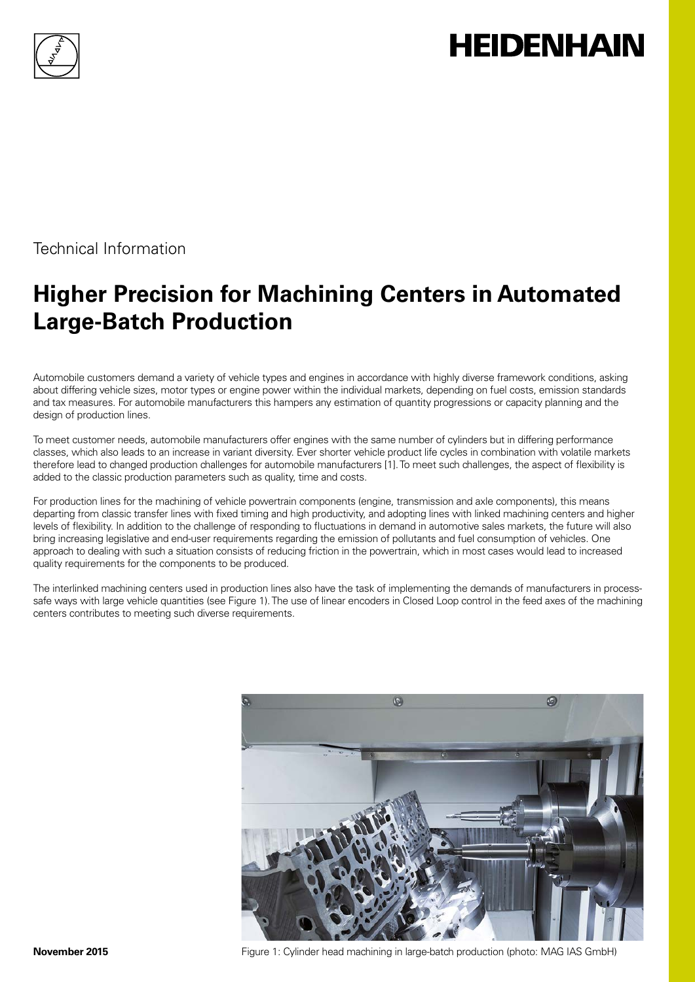

# **HEIDENHAIN**

Technical Information

# **Higher Precision for Machining Centers in Automated Large-Batch Production**

Automobile customers demand a variety of vehicle types and engines in accordance with highly diverse framework conditions, asking about differing vehicle sizes, motor types or engine power within the individual markets, depending on fuel costs, emission standards and tax measures. For automobile manufacturers this hampers any estimation of quantity progressions or capacity planning and the design of production lines.

To meet customer needs, automobile manufacturers offer engines with the same number of cylinders but in differing performance classes, which also leads to an increase in variant diversity. Ever shorter vehicle product life cycles in combination with volatile markets therefore lead to changed production challenges for automobile manufacturers [1]. To meet such challenges, the aspect of flexibility is added to the classic production parameters such as quality, time and costs.

For production lines for the machining of vehicle powertrain components (engine, transmission and axle components), this means departing from classic transfer lines with fixed timing and high productivity, and adopting lines with linked machining centers and higher levels of flexibility. In addition to the challenge of responding to fluctuations in demand in automotive sales markets, the future will also bring increasing legislative and end-user requirements regarding the emission of pollutants and fuel consumption of vehicles. One approach to dealing with such a situation consists of reducing friction in the powertrain, which in most cases would lead to increased quality requirements for the components to be produced.

The interlinked machining centers used in production lines also have the task of implementing the demands of manufacturers in processsafe ways with large vehicle quantities (see Figure 1). The use of linear encoders in Closed Loop control in the feed axes of the machining centers contributes to meeting such diverse requirements.



**November 2015** Figure 1: Cylinder head machining in large-batch production (photo: MAG IAS GmbH)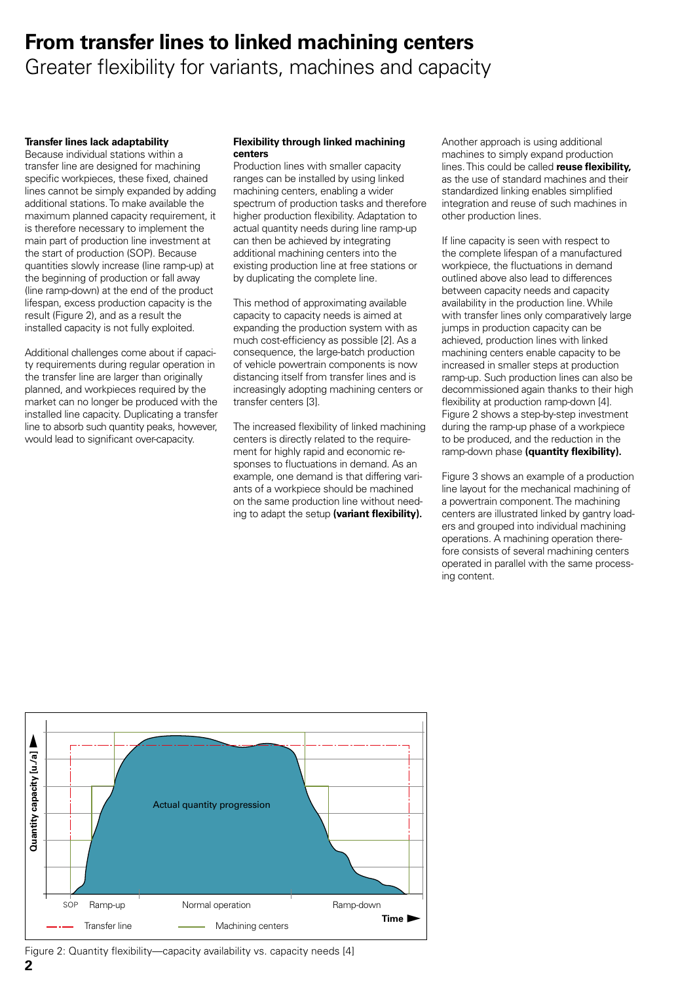### **From transfer lines to linked machining centers** Greater flexibility for variants, machines and capacity

#### **Transfer lines lack adaptability**

Because individual stations within a transfer line are designed for machining specific workpieces, these fixed, chained lines cannot be simply expanded by adding additional stations. To make available the maximum planned capacity requirement, it is therefore necessary to implement the main part of production line investment at the start of production (SOP). Because quantities slowly increase (line ramp-up) at the beginning of production or fall away (line ramp-down) at the end of the product lifespan, excess production capacity is the result (Figure 2), and as a result the installed capacity is not fully exploited.

Additional challenges come about if capacity requirements during regular operation in the transfer line are larger than originally planned, and workpieces required by the market can no longer be produced with the installed line capacity. Duplicating a transfer line to absorb such quantity peaks, however, would lead to significant over-capacity.

#### **Flexibility through linked machining centers**

Production lines with smaller capacity ranges can be installed by using linked machining centers, enabling a wider spectrum of production tasks and therefore higher production flexibility. Adaptation to actual quantity needs during line ramp-up can then be achieved by integrating additional machining centers into the existing production line at free stations or by duplicating the complete line.

This method of approximating available capacity to capacity needs is aimed at expanding the production system with as much cost-efficiency as possible [2]. As a consequence, the large-batch production of vehicle powertrain components is now distancing itself from transfer lines and is increasingly adopting machining centers or transfer centers [3].

The increased flexibility of linked machining centers is directly related to the requirement for highly rapid and economic responses to fluctuations in demand. As an example, one demand is that differing variants of a workpiece should be machined on the same production line without needing to adapt the setup **(variant flexibility).**

Another approach is using additional machines to simply expand production lines. This could be called **reuse flexibility,** as the use of standard machines and their standardized linking enables simplified integration and reuse of such machines in other production lines.

If line capacity is seen with respect to the complete lifespan of a manufactured workpiece, the fluctuations in demand outlined above also lead to differences between capacity needs and capacity availability in the production line. While with transfer lines only comparatively large jumps in production capacity can be achieved, production lines with linked machining centers enable capacity to be increased in smaller steps at production ramp-up. Such production lines can also be decommissioned again thanks to their high flexibility at production ramp-down [4]. Figure 2 shows a step-by-step investment during the ramp-up phase of a workpiece to be produced, and the reduction in the ramp-down phase **(quantity flexibility).**

Figure 3 shows an example of a production line layout for the mechanical machining of a powertrain component. The machining centers are illustrated linked by gantry loaders and grouped into individual machining operations. A machining operation therefore consists of several machining centers operated in parallel with the same processing content.



**2** Figure 2: Quantity flexibility—capacity availability vs. capacity needs [4]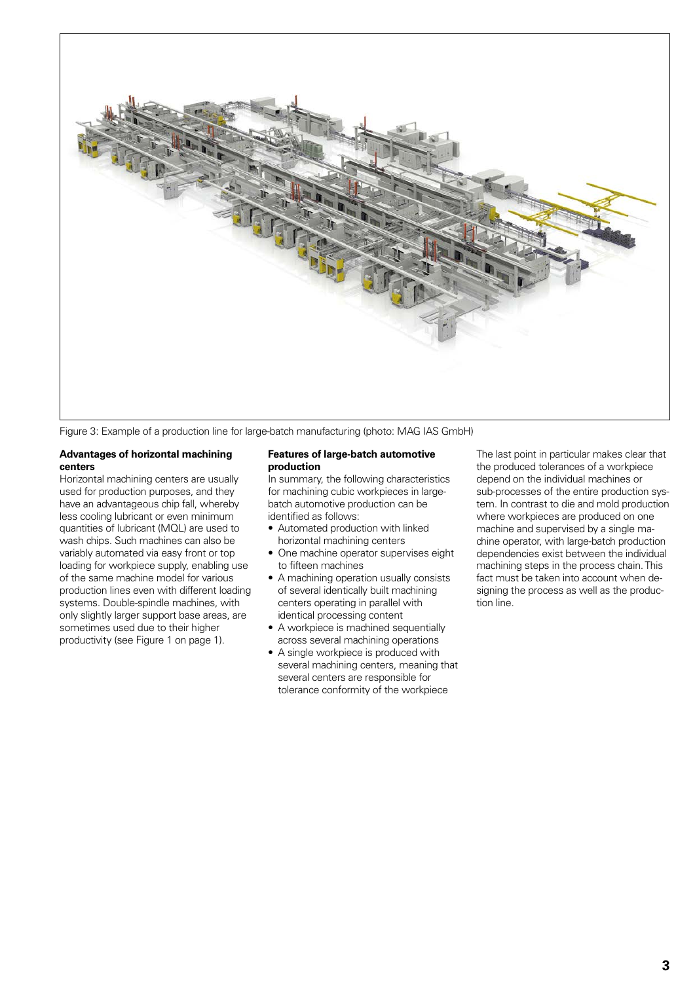

Figure 3: Example of a production line for large-batch manufacturing (photo: MAG IAS GmbH)

#### **Advantages of horizontal machining centers**

Horizontal machining centers are usually used for production purposes, and they have an advantageous chip fall, whereby less cooling lubricant or even minimum quantities of lubricant (MQL) are used to wash chips. Such machines can also be variably automated via easy front or top loading for workpiece supply, enabling use of the same machine model for various production lines even with different loading systems. Double-spindle machines, with only slightly larger support base areas, are sometimes used due to their higher productivity (see Figure 1 on page 1).

#### **Features of large-batch automotive production**

In summary, the following characteristics for machining cubic workpieces in largebatch automotive production can be identified as follows:

- Automated production with linked horizontal machining centers
- One machine operator supervises eight to fifteen machines
- A machining operation usually consists of several identically built machining centers operating in parallel with identical processing content
- A workpiece is machined sequentially across several machining operations
- A single workpiece is produced with several machining centers, meaning that several centers are responsible for tolerance conformity of the workpiece

The last point in particular makes clear that the produced tolerances of a workpiece depend on the individual machines or sub-processes of the entire production system. In contrast to die and mold production where workpieces are produced on one machine and supervised by a single machine operator, with large-batch production dependencies exist between the individual machining steps in the process chain. This fact must be taken into account when designing the process as well as the production line.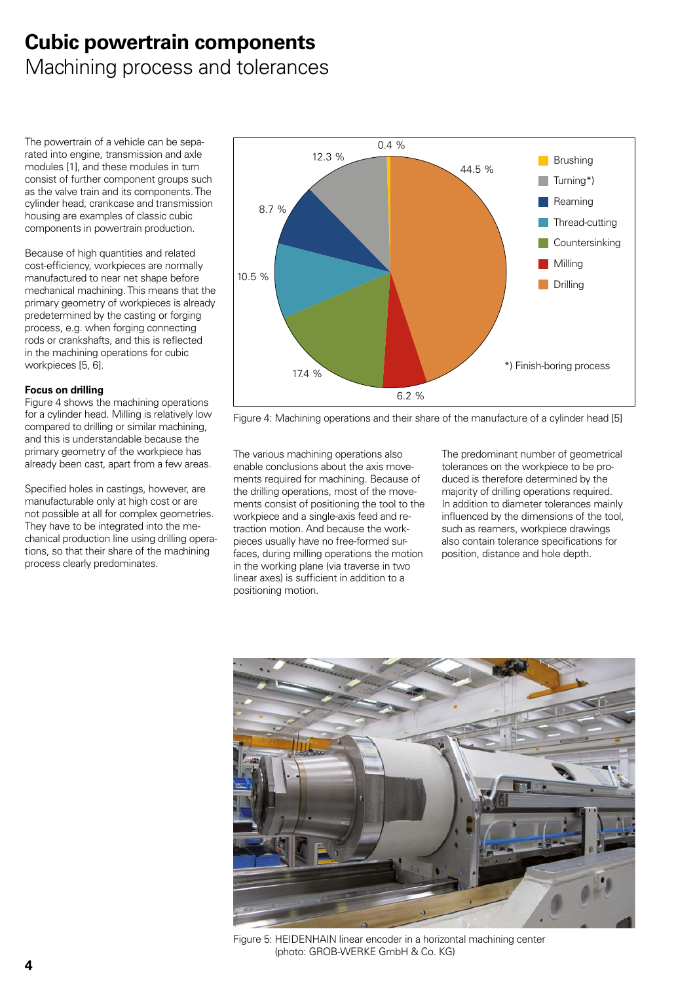### **Cubic powertrain components** Machining process and tolerances

The powertrain of a vehicle can be separated into engine, transmission and axle modules [1], and these modules in turn consist of further component groups such as the valve train and its components. The cylinder head, crankcase and transmission housing are examples of classic cubic components in powertrain production.

Because of high quantities and related cost-efficiency, workpieces are normally manufactured to near net shape before mechanical machining. This means that the primary geometry of workpieces is already predetermined by the casting or forging process, e.g. when forging connecting rods or crankshafts, and this is reflected in the machining operations for cubic workpieces [5, 6].

#### **Focus on drilling**

Figure 4 shows the machining operations for a cylinder head. Milling is relatively low compared to drilling or similar machining, and this is understandable because the primary geometry of the workpiece has already been cast, apart from a few areas.

Specified holes in castings, however, are manufacturable only at high cost or are not possible at all for complex geometries. They have to be integrated into the mechanical production line using drilling operations, so that their share of the machining process clearly predominates.



Figure 4: Machining operations and their share of the manufacture of a cylinder head [5]

The various machining operations also enable conclusions about the axis movements required for machining. Because of the drilling operations, most of the movements consist of positioning the tool to the workpiece and a single-axis feed and retraction motion. And because the workpieces usually have no free-formed surfaces, during milling operations the motion in the working plane (via traverse in two linear axes) is sufficient in addition to a positioning motion.

The predominant number of geometrical tolerances on the workpiece to be produced is therefore determined by the majority of drilling operations required. In addition to diameter tolerances mainly influenced by the dimensions of the tool, such as reamers, workpiece drawings also contain tolerance specifications for position, distance and hole depth.



Figure 5: HEIDENHAIN linear encoder in a horizontal machining center (photo: GROB-WERKE GmbH & Co. KG)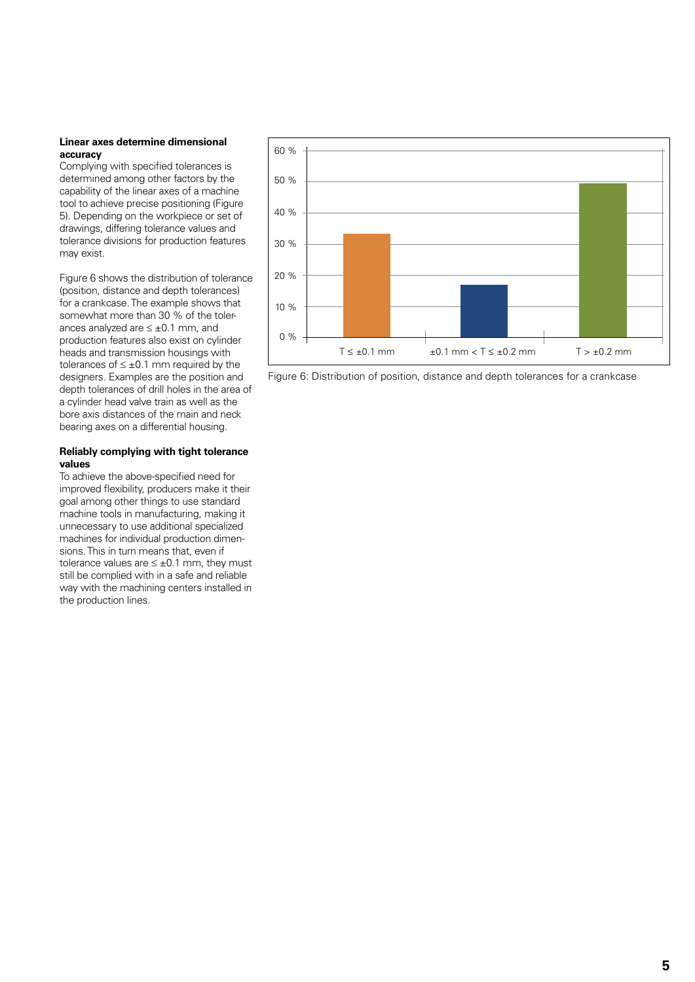#### **Linear axes determine dimensional accuracy**

Complying with specified tolerances is determined among other factors by the capability of the linear axes of a machine tool to achieve precise positioning (Figure 5). Depending on the workpiece or set of drawings, differing tolerance values and tolerance divisions for production features may exist.

Figure 6 shows the distribution of tolerance (position, distance and depth tolerances) for a crankcase. The example shows that somewhat more than 30 % of the tolerances analyzed are ≤ ±0.1 mm, and production features also exist on cylinder heads and transmission housings with tolerances of  $\leq \pm 0.1$  mm required by the designers. Examples are the position and depth tolerances of drill holes in the area of a cylinder head valve train as well as the bore axis distances of the main and neck bearing axes on a differential housing.

#### **Reliably complying with tight tolerance values**

To achieve the above-specified need for improved flexibility, producers make it their goal among other things to use standard machine tools in manufacturing, making it unnecessary to use additional specialized machines for individual production dimensions. This in turn means that, even if tolerance values are  $\leq \pm 0.1$  mm, they must still be complied with in a safe and reliable way with the machining centers installed in the production lines.



Figure 6: Distribution of position, distance and depth tolerances for a crankcase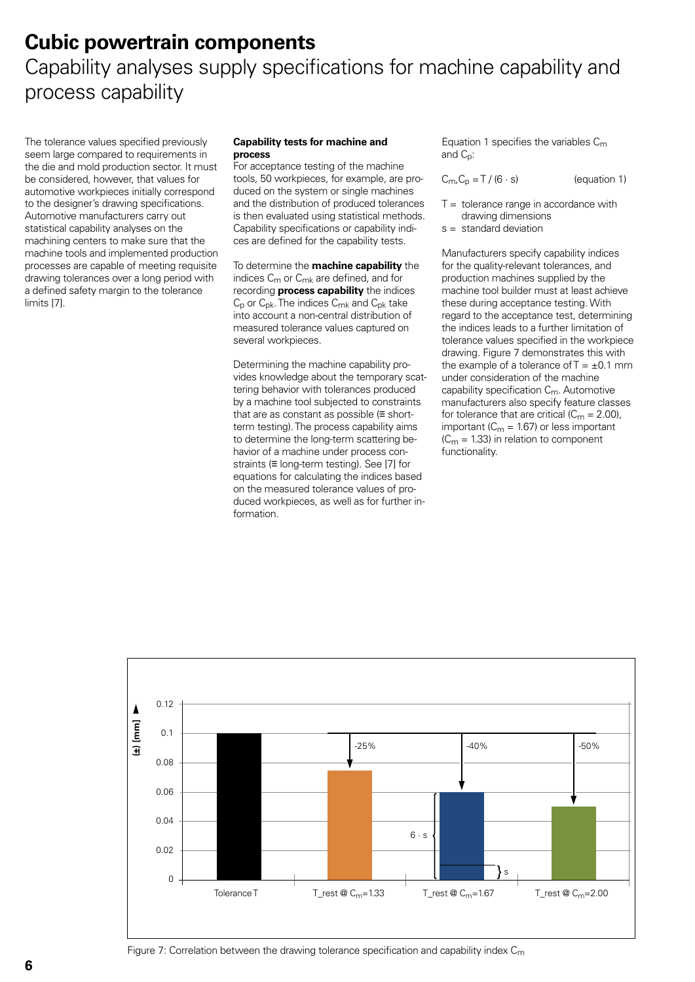### **Cubic powertrain components** Capability analyses supply specifications for machine capability and process capability

The tolerance values specified previously seem large compared to requirements in the die and mold production sector. It must be considered, however, that values for automotive workpieces initially correspond to the designer's drawing specifications. Automotive manufacturers carry out statistical capability analyses on the machining centers to make sure that the machine tools and implemented production processes are capable of meeting requisite drawing tolerances over a long period with a defined safety margin to the tolerance limits [7].

#### **Capability tests for machine and process**

For acceptance testing of the machine tools, 50 workpieces, for example, are produced on the system or single machines and the distribution of produced tolerances is then evaluated using statistical methods. Capability specifications or capability indices are defined for the capability tests.

To determine the **machine capability** the indices  $C_m$  or  $C_{mk}$  are defined, and for recording **process capability** the indices  $C_p$  or  $C_{pk}$ . The indices  $C_{mk}$  and  $C_{pk}$  take into account a non-central distribution of measured tolerance values captured on several workpieces.

Determining the machine capability provides knowledge about the temporary scattering behavior with tolerances produced by a machine tool subjected to constraints that are as constant as possible (≡ shortterm testing). The process capability aims to determine the long-term scattering behavior of a machine under process constraints (≡ long-term testing). See [7] for equations for calculating the indices based on the measured tolerance values of produced workpieces, as well as for further information.

Equation 1 specifies the variables  $C_m$ and  $C_n$ :

$$
C_{m}C_{p} = T / (6 \cdot s)
$$
 (equation 1)

- $T =$  tolerance range in accordance with drawing dimensions
- s = standard deviation

Manufacturers specify capability indices for the quality-relevant tolerances, and production machines supplied by the machine tool builder must at least achieve these during acceptance testing. With regard to the acceptance test, determining the indices leads to a further limitation of tolerance values specified in the workpiece drawing. Figure 7 demonstrates this with the example of a tolerance of  $T = \pm 0.1$  mm under consideration of the machine capability specification  $C_m$ . Automotive manufacturers also specify feature classes for tolerance that are critical  $(C_m = 2.00)$ , important ( $C_m$  = 1.67) or less important  $(C_m = 1.33)$  in relation to component functionality.

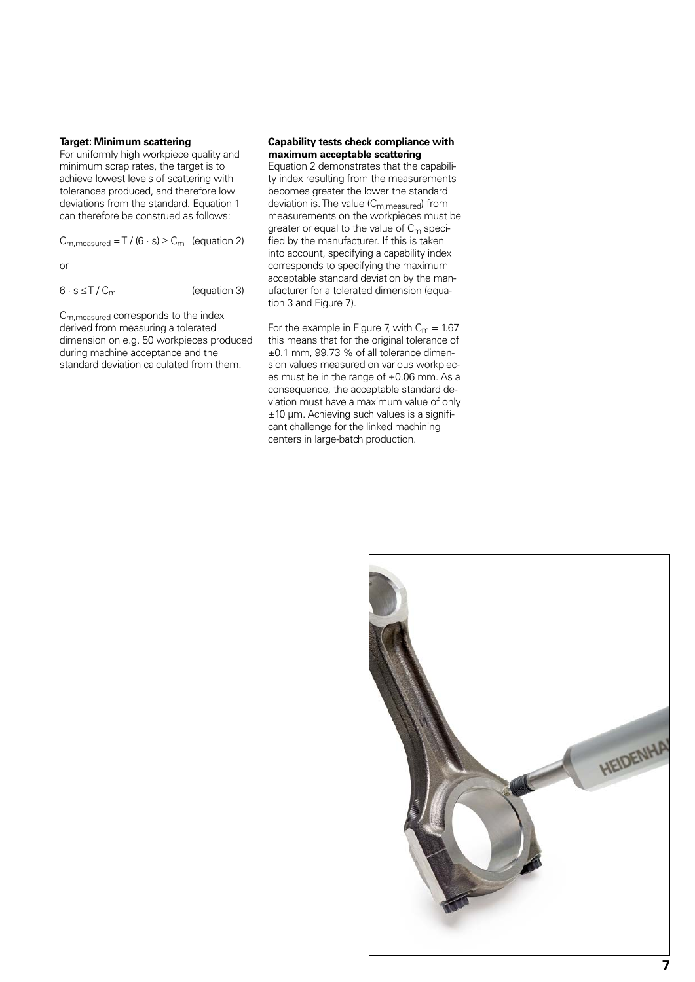#### **Target: Minimum scattering**

For uniformly high workpiece quality and minimum scrap rates, the target is to achieve lowest levels of scattering with tolerances produced, and therefore low deviations from the standard. Equation 1 can therefore be construed as follows:

 $C_{\text{m,measured}} = T / (6 \cdot s) \ge C_{\text{m}}$  (equation 2)

or

 $6 \cdot s \leq T / C_m$  (equation 3)

Cm,measured corresponds to the index derived from measuring a tolerated dimension on e.g. 50 workpieces produced during machine acceptance and the standard deviation calculated from them.

#### **Capability tests check compliance with maximum acceptable scattering**

Equation 2 demonstrates that the capability index resulting from the measurements becomes greater the lower the standard deviation is. The value (C<sub>m, measured</sub>) from measurements on the workpieces must be greater or equal to the value of  $C_m$  specified by the manufacturer. If this is taken into account, specifying a capability index corresponds to specifying the maximum acceptable standard deviation by the manufacturer for a tolerated dimension (equation 3 and Figure 7).

For the example in Figure 7, with  $C_m = 1.67$ this means that for the original tolerance of ±0.1 mm, 99.73 % of all tolerance dimension values measured on various workpieces must be in the range of ±0.06 mm. As a consequence, the acceptable standard deviation must have a maximum value of only ±10 µm. Achieving such values is a significant challenge for the linked machining centers in large-batch production.

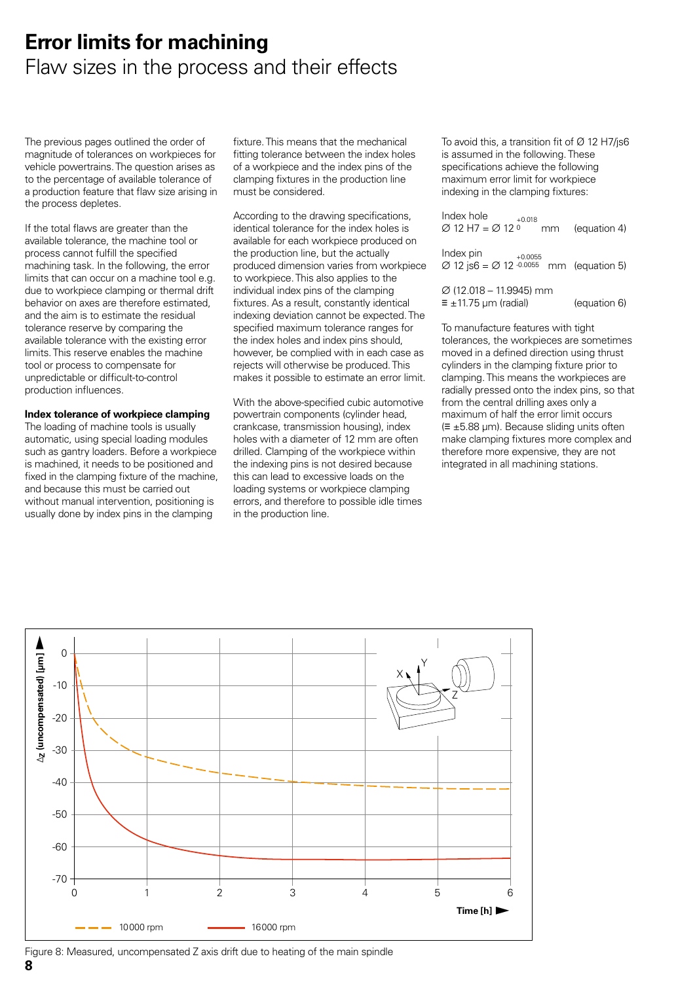### **Error limits for machining** Flaw sizes in the process and their effects

The previous pages outlined the order of magnitude of tolerances on workpieces for vehicle powertrains. The question arises as to the percentage of available tolerance of a production feature that flaw size arising in the process depletes.

If the total flaws are greater than the available tolerance, the machine tool or process cannot fulfill the specified machining task. In the following, the error limits that can occur on a machine tool e.g. due to workpiece clamping or thermal drift behavior on axes are therefore estimated, and the aim is to estimate the residual tolerance reserve by comparing the available tolerance with the existing error limits. This reserve enables the machine tool or process to compensate for unpredictable or difficult-to-control production influences.

#### **Index tolerance of workpiece clamping**

The loading of machine tools is usually automatic, using special loading modules such as gantry loaders. Before a workpiece is machined, it needs to be positioned and fixed in the clamping fixture of the machine, and because this must be carried out without manual intervention, positioning is usually done by index pins in the clamping

fixture. This means that the mechanical fitting tolerance between the index holes of a workpiece and the index pins of the clamping fixtures in the production line must be considered.

According to the drawing specifications, identical tolerance for the index holes is available for each workpiece produced on the production line, but the actually produced dimension varies from workpiece to workpiece. This also applies to the individual index pins of the clamping fixtures. As a result, constantly identical indexing deviation cannot be expected. The specified maximum tolerance ranges for the index holes and index pins should, however, be complied with in each case as rejects will otherwise be produced. This makes it possible to estimate an error limit.

With the above-specified cubic automotive powertrain components (cylinder head, crankcase, transmission housing), index holes with a diameter of 12 mm are often drilled. Clamping of the workpiece within the indexing pins is not desired because this can lead to excessive loads on the loading systems or workpiece clamping errors, and therefore to possible idle times in the production line.

To avoid this, a transition fit of  $\varnothing$  12 H7/js6 is assumed in the following. These specifications achieve the following maximum error limit for workpiece indexing in the clamping fixtures:

| Index hole<br>$+0.018$<br>$\varnothing$ 12 H7 = $\varnothing$ 12 $\circ$<br>mm            | (equation 4) |
|-------------------------------------------------------------------------------------------|--------------|
| Index pin<br>$+0.0055$<br>$\varnothing$ 12 js6 = $\varnothing$ 12 -0.0055 mm (equation 5) |              |
| $\varnothing$ (12.018 – 11.9945) mm                                                       |              |

 $\equiv \pm 11.75$  µm (radial) (equation 6)

To manufacture features with tight tolerances, the workpieces are sometimes moved in a defined direction using thrust cylinders in the clamping fixture prior to clamping. This means the workpieces are radially pressed onto the index pins, so that from the central drilling axes only a maximum of half the error limit occurs (≡ ±5.88 µm). Because sliding units often make clamping fixtures more complex and therefore more expensive, they are not integrated in all machining stations.



**8** Figure 8: Measured, uncompensated Z axis drift due to heating of the main spindle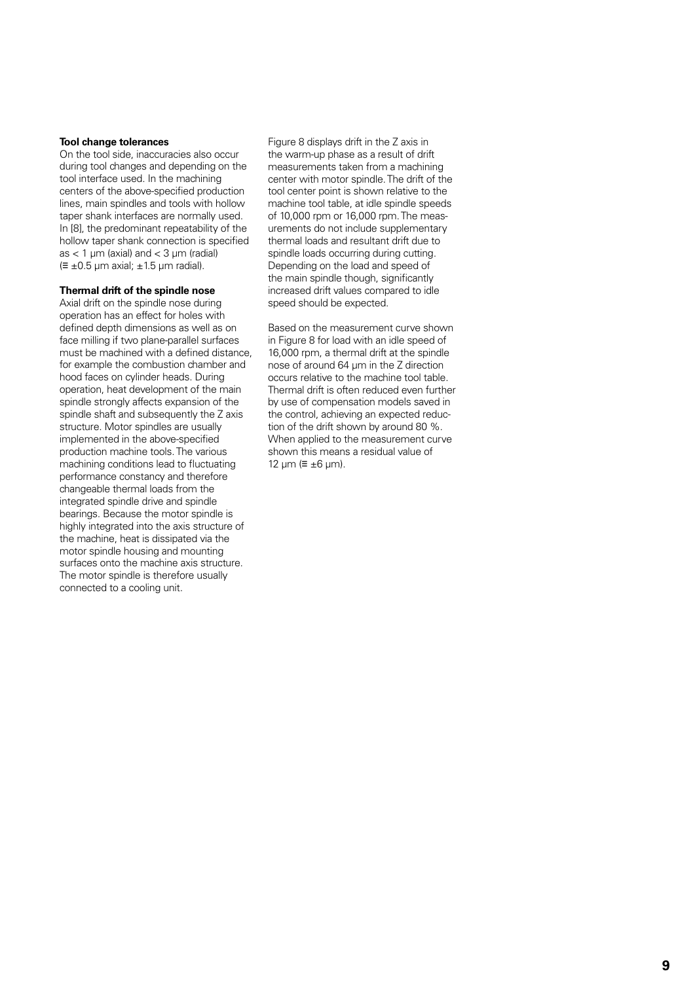#### **Tool change tolerances**

On the tool side, inaccuracies also occur during tool changes and depending on the tool interface used. In the machining centers of the above-specified production lines, main spindles and tools with hollow taper shank interfaces are normally used. In [8], the predominant repeatability of the hollow taper shank connection is specified as  $<$  1 µm (axial) and  $<$  3 µm (radial)  $(\equiv \pm 0.5 \,\text{\mu m}$  axial;  $\pm 1.5 \,\text{\mu m}$  radial).

#### **Thermal drift of the spindle nose**

Axial drift on the spindle nose during operation has an effect for holes with defined depth dimensions as well as on face milling if two plane-parallel surfaces must be machined with a defined distance, for example the combustion chamber and hood faces on cylinder heads. During operation, heat development of the main spindle strongly affects expansion of the spindle shaft and subsequently the Z axis structure. Motor spindles are usually implemented in the above-specified production machine tools. The various machining conditions lead to fluctuating performance constancy and therefore changeable thermal loads from the integrated spindle drive and spindle bearings. Because the motor spindle is highly integrated into the axis structure of the machine, heat is dissipated via the motor spindle housing and mounting surfaces onto the machine axis structure. The motor spindle is therefore usually connected to a cooling unit.

Figure 8 displays drift in the Z axis in the warm-up phase as a result of drift measurements taken from a machining center with motor spindle. The drift of the tool center point is shown relative to the machine tool table, at idle spindle speeds of 10,000 rpm or 16,000 rpm. The measurements do not include supplementary thermal loads and resultant drift due to spindle loads occurring during cutting. Depending on the load and speed of the main spindle though, significantly increased drift values compared to idle speed should be expected.

Based on the measurement curve shown in Figure 8 for load with an idle speed of 16,000 rpm, a thermal drift at the spindle nose of around 64 µm in the Z direction occurs relative to the machine tool table. Thermal drift is often reduced even further by use of compensation models saved in the control, achieving an expected reduction of the drift shown by around 80 %. When applied to the measurement curve shown this means a residual value of 12 µm ( $\equiv \pm 6$  µm).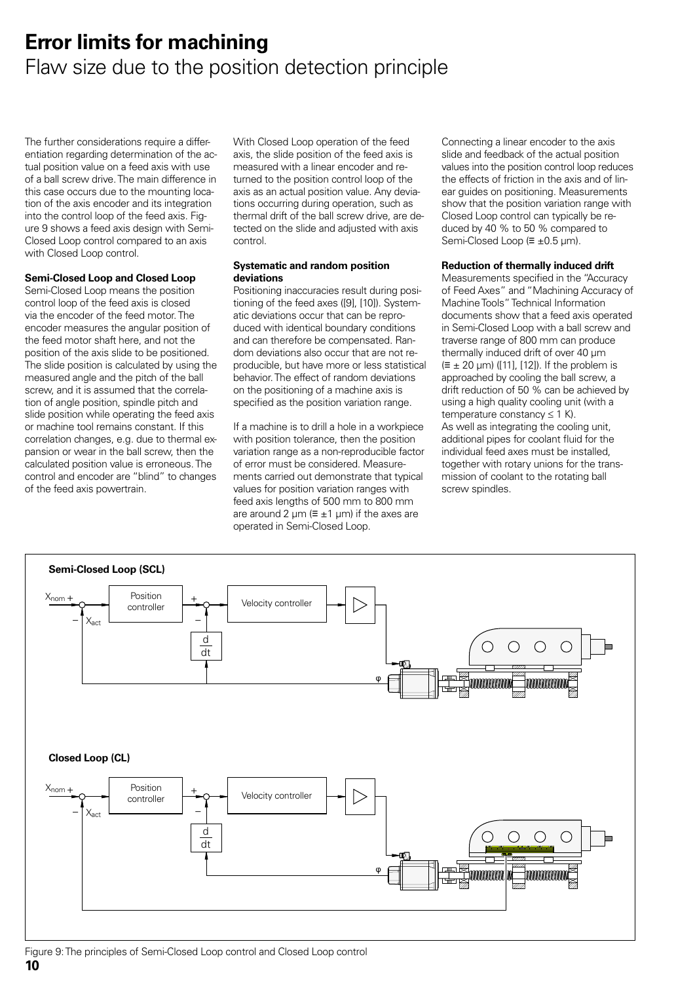### **Error limits for machining** Flaw size due to the position detection principle

The further considerations require a differentiation regarding determination of the actual position value on a feed axis with use of a ball screw drive. The main difference in this case occurs due to the mounting location of the axis encoder and its integration into the control loop of the feed axis. Figure 9 shows a feed axis design with Semi-Closed Loop control compared to an axis with Closed Loop control.

#### **Semi-Closed Loop and Closed Loop**

Semi-Closed Loop means the position control loop of the feed axis is closed via the encoder of the feed motor. The encoder measures the angular position of the feed motor shaft here, and not the position of the axis slide to be positioned. The slide position is calculated by using the measured angle and the pitch of the ball screw, and it is assumed that the correlation of angle position, spindle pitch and slide position while operating the feed axis or machine tool remains constant. If this correlation changes, e.g. due to thermal expansion or wear in the ball screw, then the calculated position value is erroneous. The control and encoder are "blind" to changes of the feed axis powertrain.

With Closed Loop operation of the feed axis, the slide position of the feed axis is measured with a linear encoder and returned to the position control loop of the axis as an actual position value. Any deviations occurring during operation, such as thermal drift of the ball screw drive, are detected on the slide and adjusted with axis control.

#### **Systematic and random position deviations**

Positioning inaccuracies result during positioning of the feed axes ([9], [10]). Systematic deviations occur that can be reproduced with identical boundary conditions and can therefore be compensated. Random deviations also occur that are not reproducible, but have more or less statistical behavior. The effect of random deviations on the positioning of a machine axis is specified as the position variation range.

If a machine is to drill a hole in a workpiece with position tolerance, then the position variation range as a non-reproducible factor of error must be considered. Measurements carried out demonstrate that typical values for position variation ranges with feed axis lengths of 500 mm to 800 mm are around 2  $\mu$ m (=  $\pm$ 1  $\mu$ m) if the axes are operated in Semi-Closed Loop.

Connecting a linear encoder to the axis slide and feedback of the actual position values into the position control loop reduces the effects of friction in the axis and of linear guides on positioning. Measurements show that the position variation range with Closed Loop control can typically be reduced by 40 % to 50 % compared to Semi-Closed Loop (≡ ±0.5 µm).

#### **Reduction of thermally induced drift**

Measurements specified in the "Accuracy of Feed Axes" and "Machining Accuracy of Machine Tools" Technical Information documents show that a feed axis operated in Semi-Closed Loop with a ball screw and traverse range of 800 mm can produce thermally induced drift of over 40 um  $(\equiv \pm 20 \text{ }\mu\text{m})$  ([11], [12]). If the problem is approached by cooling the ball screw, a drift reduction of 50 % can be achieved by using a high quality cooling unit (with a temperature constancy  $\leq 1$  K). As well as integrating the cooling unit, additional pipes for coolant fluid for the individual feed axes must be installed, together with rotary unions for the transmission of coolant to the rotating ball screw spindles.



#### **10** Figure 9: The principles of Semi-Closed Loop control and Closed Loop control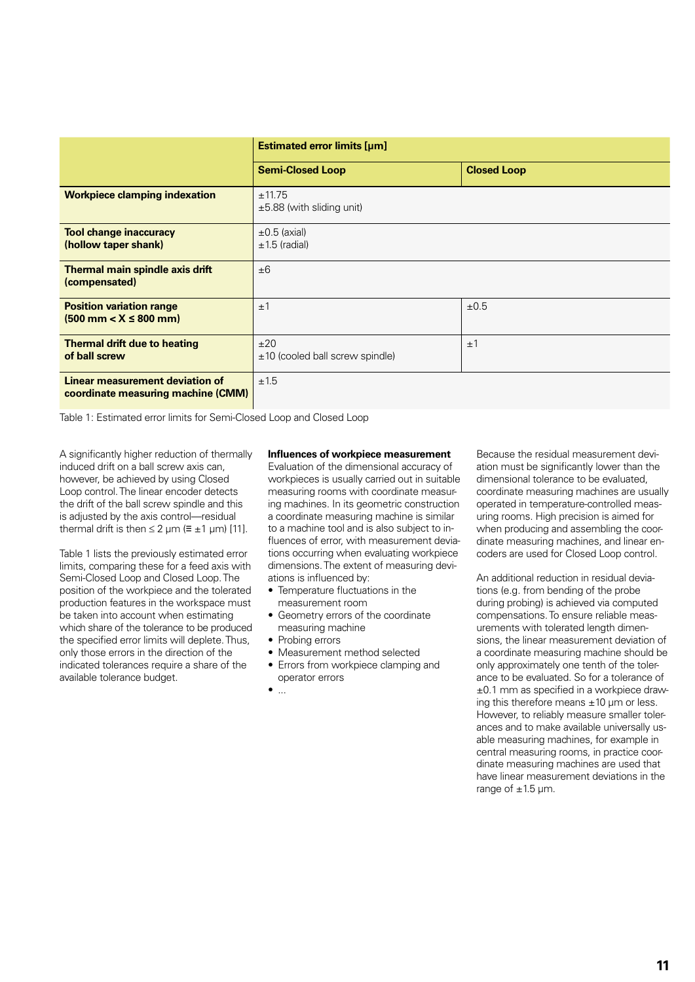|                                                                               | <b>Estimated error limits [µm]</b>       |                    |  |
|-------------------------------------------------------------------------------|------------------------------------------|--------------------|--|
|                                                                               | <b>Semi-Closed Loop</b>                  | <b>Closed Loop</b> |  |
| <b>Workpiece clamping indexation</b>                                          | ±11.75<br>$\pm 5.88$ (with sliding unit) |                    |  |
| <b>Tool change inaccuracy</b><br>(hollow taper shank)                         | $\pm 0.5$ (axial)<br>$±1.5$ (radial)     |                    |  |
| Thermal main spindle axis drift<br>(compensated)                              | ±6                                       |                    |  |
| <b>Position variation range</b><br>$(500 \text{ mm} < X \leq 800 \text{ mm})$ | ±1                                       | $\pm 0.5$          |  |
| <b>Thermal drift due to heating</b><br>of ball screw                          | ±20<br>$±10$ (cooled ball screw spindle) | $\pm$ 1            |  |
| Linear measurement deviation of<br>coordinate measuring machine (CMM)         | ±1.5                                     |                    |  |

Table 1: Estimated error limits for Semi-Closed Loop and Closed Loop

A significantly higher reduction of thermally induced drift on a ball screw axis can, however, be achieved by using Closed Loop control. The linear encoder detects the drift of the ball screw spindle and this is adjusted by the axis control—residual thermal drift is then  $\leq 2$  µm ( $\equiv \pm 1$  µm) [11].

Table 1 lists the previously estimated error limits, comparing these for a feed axis with Semi-Closed Loop and Closed Loop. The position of the workpiece and the tolerated production features in the workspace must be taken into account when estimating which share of the tolerance to be produced the specified error limits will deplete. Thus, only those errors in the direction of the indicated tolerances require a share of the available tolerance budget.

#### **Influences of workpiece measurement**

Evaluation of the dimensional accuracy of workpieces is usually carried out in suitable measuring rooms with coordinate measuring machines. In its geometric construction a coordinate measuring machine is similar to a machine tool and is also subject to influences of error, with measurement deviations occurring when evaluating workpiece dimensions. The extent of measuring deviations is influenced by:

- Temperature fluctuations in the measurement room
- Geometry errors of the coordinate measuring machine
- Probing errors
- Measurement method selected
- Errors from workpiece clamping and operator errors
- $\bullet$  ...

Because the residual measurement deviation must be significantly lower than the dimensional tolerance to be evaluated, coordinate measuring machines are usually operated in temperature-controlled measuring rooms. High precision is aimed for when producing and assembling the coordinate measuring machines, and linear encoders are used for Closed Loop control.

An additional reduction in residual deviations (e.g. from bending of the probe during probing) is achieved via computed compensations. To ensure reliable measurements with tolerated length dimensions, the linear measurement deviation of a coordinate measuring machine should be only approximately one tenth of the tolerance to be evaluated. So for a tolerance of ±0.1 mm as specified in a workpiece drawing this therefore means  $\pm 10$  um or less. However, to reliably measure smaller tolerances and to make available universally usable measuring machines, for example in central measuring rooms, in practice coordinate measuring machines are used that have linear measurement deviations in the range of  $\pm 1.5$  µm.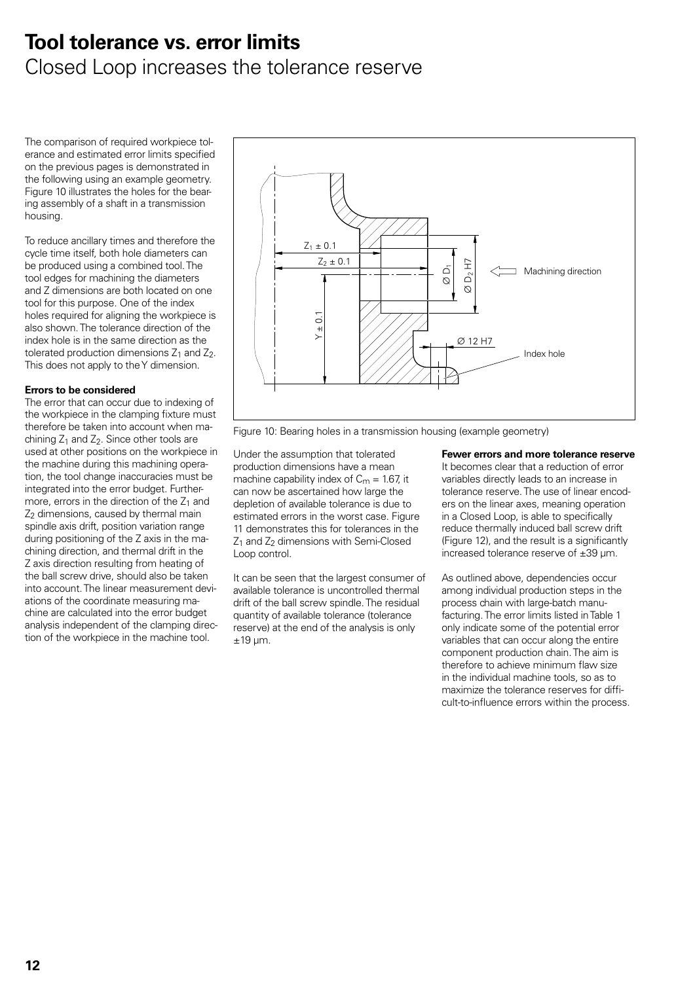### **Tool tolerance vs. error limits**

### Closed Loop increases the tolerance reserve

The comparison of required workpiece tolerance and estimated error limits specified on the previous pages is demonstrated in the following using an example geometry. Figure 10 illustrates the holes for the bearing assembly of a shaft in a transmission housing.

To reduce ancillary times and therefore the cycle time itself, both hole diameters can be produced using a combined tool. The tool edges for machining the diameters and Z dimensions are both located on one tool for this purpose. One of the index holes required for aligning the workpiece is also shown. The tolerance direction of the index hole is in the same direction as the tolerated production dimensions  $Z_1$  and  $Z_2$ . This does not apply to the Y dimension.

#### **Errors to be considered**

The error that can occur due to indexing of the workpiece in the clamping fixture must therefore be taken into account when machining  $Z_1$  and  $Z_2$ . Since other tools are used at other positions on the workpiece in the machine during this machining operation, the tool change inaccuracies must be integrated into the error budget. Furthermore, errors in the direction of the  $Z_1$  and Z<sub>2</sub> dimensions, caused by thermal main spindle axis drift, position variation range during positioning of the Z axis in the machining direction, and thermal drift in the Z axis direction resulting from heating of the ball screw drive, should also be taken into account. The linear measurement deviations of the coordinate measuring machine are calculated into the error budget analysis independent of the clamping direction of the workpiece in the machine tool.



Figure 10: Bearing holes in a transmission housing (example geometry)

Under the assumption that tolerated production dimensions have a mean machine capability index of  $C_m = 1.67$ , it can now be ascertained how large the depletion of available tolerance is due to estimated errors in the worst case. Figure 11 demonstrates this for tolerances in the  $Z_1$  and  $Z_2$  dimensions with Semi-Closed Loop control.

It can be seen that the largest consumer of available tolerance is uncontrolled thermal drift of the ball screw spindle. The residual quantity of available tolerance (tolerance reserve) at the end of the analysis is only  $±19$  µm.

#### **Fewer errors and more tolerance reserve**

It becomes clear that a reduction of error variables directly leads to an increase in tolerance reserve. The use of linear encoders on the linear axes, meaning operation in a Closed Loop, is able to specifically reduce thermally induced ball screw drift (Figure 12), and the result is a significantly increased tolerance reserve of ±39 µm.

As outlined above, dependencies occur among individual production steps in the process chain with large-batch manufacturing. The error limits listed in Table 1 only indicate some of the potential error variables that can occur along the entire component production chain. The aim is therefore to achieve minimum flaw size in the individual machine tools, so as to maximize the tolerance reserves for difficult-to-influence errors within the process.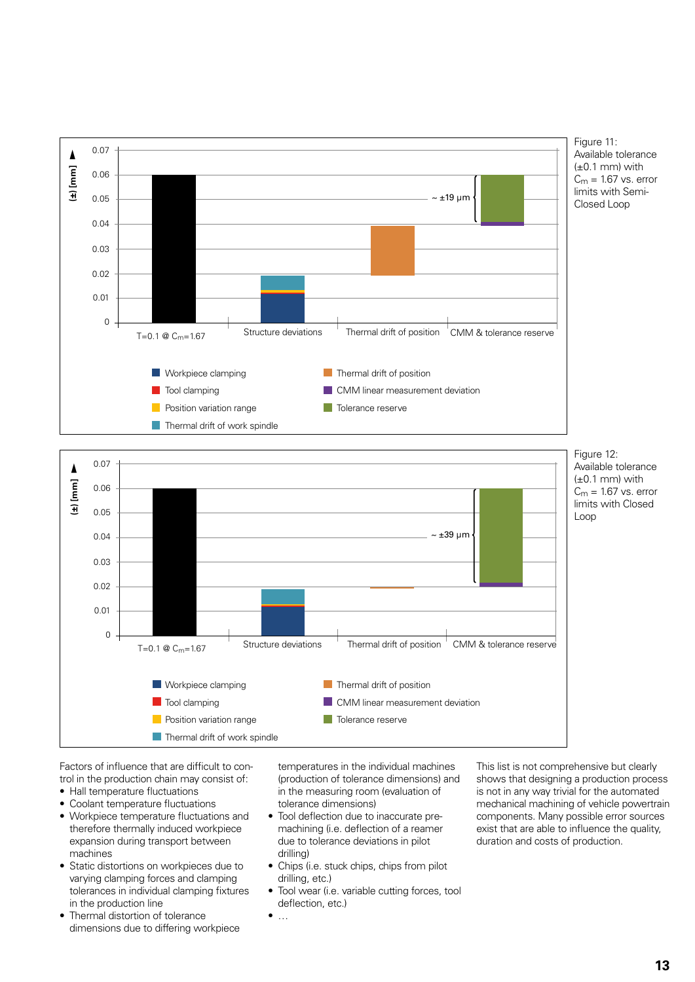





Figure 12: Available tolerance  $(\pm 0.1$  mm) with  $C_m = 1.67$  vs. error limits with Closed

Factors of influence that are difficult to control in the production chain may consist of:

- Hall temperature fluctuations
- Coolant temperature fluctuations
- Workpiece temperature fluctuations and therefore thermally induced workpiece expansion during transport between machines
- Static distortions on workpieces due to varying clamping forces and clamping tolerances in individual clamping fixtures in the production line
- Thermal distortion of tolerance dimensions due to differing workpiece

temperatures in the individual machines (production of tolerance dimensions) and in the measuring room (evaluation of tolerance dimensions)

- Tool deflection due to inaccurate premachining (i.e. deflection of a reamer due to tolerance deviations in pilot drilling)
- Chips (i.e. stuck chips, chips from pilot drilling, etc.)

• …

• Tool wear (i.e. variable cutting forces, tool deflection, etc.)

This list is not comprehensive but clearly shows that designing a production process is not in any way trivial for the automated mechanical machining of vehicle powertrain components. Many possible error sources exist that are able to influence the quality, duration and costs of production.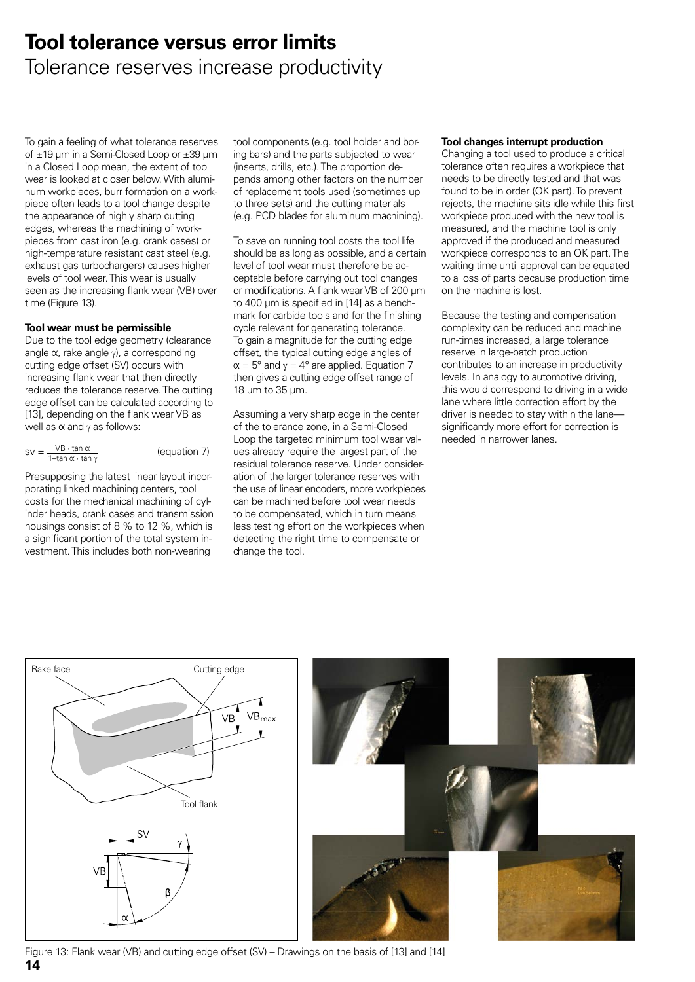### **Tool tolerance versus error limits** Tolerance reserves increase productivity

To gain a feeling of what tolerance reserves of ±19 µm in a Semi-Closed Loop or ±39 µm in a Closed Loop mean, the extent of tool wear is looked at closer below. With aluminum workpieces, burr formation on a workpiece often leads to a tool change despite the appearance of highly sharp cutting edges, whereas the machining of workpieces from cast iron (e.g. crank cases) or high-temperature resistant cast steel (e.g. exhaust gas turbochargers) causes higher levels of tool wear. This wear is usually seen as the increasing flank wear (VB) over time (Figure 13).

#### **Tool wear must be permissible**

Due to the tool edge geometry (clearance angle  $\alpha$ , rake angle  $\gamma$ ), a corresponding cutting edge offset (SV) occurs with increasing flank wear that then directly reduces the tolerance reserve. The cutting edge offset can be calculated according to [13], depending on the flank wear VB as well as  $α$  and  $γ$  as follows:

$$
SV = \frac{VB \cdot \tan \alpha}{1 - \tan \alpha \cdot \tan \gamma}
$$

(equation 7)

Presupposing the latest linear layout incorporating linked machining centers, tool costs for the mechanical machining of cylinder heads, crank cases and transmission housings consist of 8 % to 12 %, which is a significant portion of the total system investment. This includes both non-wearing

tool components (e.g. tool holder and boring bars) and the parts subjected to wear (inserts, drills, etc.). The proportion depends among other factors on the number of replacement tools used (sometimes up to three sets) and the cutting materials (e.g. PCD blades for aluminum machining).

To save on running tool costs the tool life should be as long as possible, and a certain level of tool wear must therefore be acceptable before carrying out tool changes or modifications. A flank wear VB of 200 µm to 400 µm is specified in [14] as a benchmark for carbide tools and for the finishing cycle relevant for generating tolerance. To gain a magnitude for the cutting edge offset, the typical cutting edge angles of  $\alpha = 5^{\circ}$  and  $\gamma = 4^{\circ}$  are applied. Equation 7 then gives a cutting edge offset range of 18 µm to 35 µm.

Assuming a very sharp edge in the center of the tolerance zone, in a Semi-Closed Loop the targeted minimum tool wear values already require the largest part of the residual tolerance reserve. Under consideration of the larger tolerance reserves with the use of linear encoders, more workpieces can be machined before tool wear needs to be compensated, which in turn means less testing effort on the workpieces when detecting the right time to compensate or change the tool.

#### **Tool changes interrupt production**

Changing a tool used to produce a critical tolerance often requires a workpiece that needs to be directly tested and that was found to be in order (OK part). To prevent rejects, the machine sits idle while this first workpiece produced with the new tool is measured, and the machine tool is only approved if the produced and measured workpiece corresponds to an OK part. The waiting time until approval can be equated to a loss of parts because production time on the machine is lost.

Because the testing and compensation complexity can be reduced and machine run-times increased, a large tolerance reserve in large-batch production contributes to an increase in productivity levels. In analogy to automotive driving, this would correspond to driving in a wide lane where little correction effort by the driver is needed to stay within the lane significantly more effort for correction is needed in narrower lanes.



**14** Figure 13: Flank wear (VB) and cutting edge offset (SV) – Drawings on the basis of [13] and [14]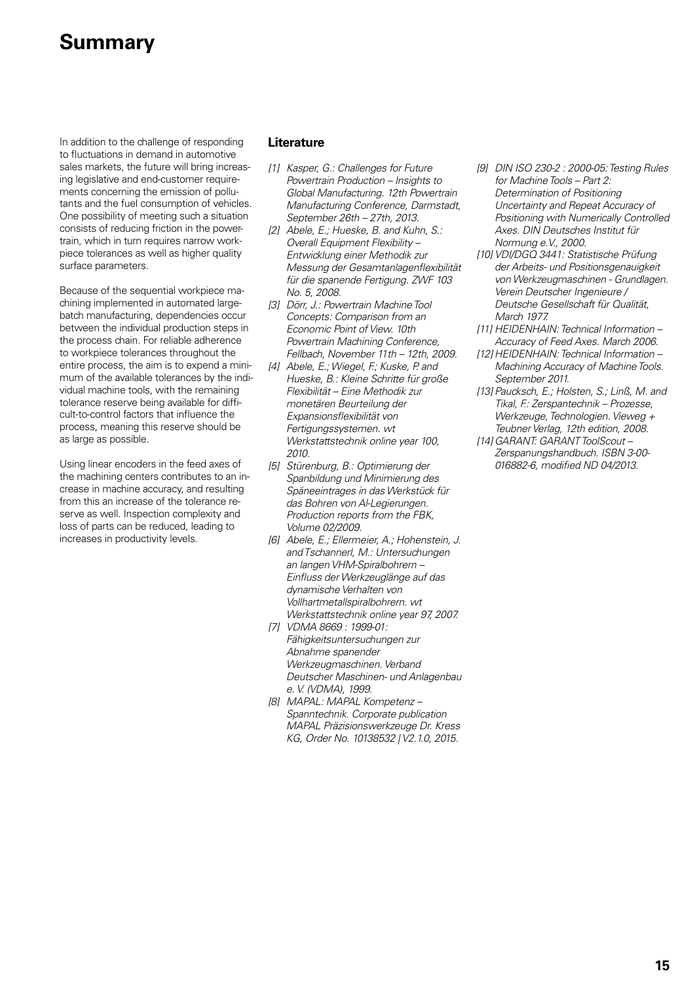### **Summary**

In addition to the challenge of responding to fluctuations in demand in automotive sales markets, the future will bring increasing legislative and end-customer requirements concerning the emission of pollutants and the fuel consumption of vehicles. One possibility of meeting such a situation consists of reducing friction in the powertrain, which in turn requires narrow workpiece tolerances as well as higher quality surface parameters.

Because of the sequential workpiece machining implemented in automated largebatch manufacturing, dependencies occur between the individual production steps in the process chain. For reliable adherence to workpiece tolerances throughout the entire process, the aim is to expend a minimum of the available tolerances by the individual machine tools, with the remaining tolerance reserve being available for difficult-to-control factors that influence the process, meaning this reserve should be as large as possible.

Using linear encoders in the feed axes of the machining centers contributes to an increase in machine accuracy, and resulting from this an increase of the tolerance reserve as well. Inspection complexity and loss of parts can be reduced, leading to increases in productivity levels.

#### **Literature**

- *[1] Kasper, G.: Challenges for Future Powertrain Production – Insights to Global Manufacturing. 12th Powertrain Manufacturing Conference, Darmstadt, September 26th – 27th, 2013.*
- *[2] Abele, E.; Hueske, B. and Kuhn, S.: Overall Equipment Flexibility – Entwicklung einer Methodik zur Messung der Gesamtanlagenflexibilität für die spanende Fertigung. ZWF 103 No. 5, 2008.*
- *[3] Dörr, J.: Powertrain Machine Tool Concepts: Comparison from an Economic Point of View. 10th Powertrain Machining Conference, Fellbach, November 11th – 12th, 2009.*
- *[4] Abele, E.; Wiegel, F.; Kuske, P. and Hueske, B.: Kleine Schritte für große Flexibilität – Eine Methodik zur monetären Beurteilung der Expansionsflexibilität von Fertigungssystemen. wt Werkstattstechnik online year 100, 2010.*
- *[5] Stürenburg, B.: Optimierung der Spanbildung und Minimierung des Späneeintrages in das Werkstück für das Bohren von Al-Legierungen. Production reports from the FBK, Volume 02/2009.*
- *[6] Abele, E.; Ellermeier, A.; Hohenstein, J. and Tschannerl, M.: Untersuchungen an langen VHM-Spiralbohrern – Einfluss der Werkzeuglänge auf das dynamische Verhalten von Vollhartmetallspiralbohrern. wt Werkstattstechnik online year 97, 2007.*
- *[7] VDMA 8669 : 1999-01: Fähigkeitsuntersuchungen zur Abnahme spanender Werkzeugmaschinen. Verband Deutscher Maschinen- und Anlagenbau e. V. (VDMA), 1999.*
- *[8] MAPAL: MAPAL Kompetenz Spanntechnik. Corporate publication MAPAL Präzisionswerkzeuge Dr. Kress KG, Order No. 10138532 | V2.1.0, 2015.*
- *[9] DIN ISO 230-2 : 2000-05: Testing Rules for Machine Tools – Part 2: Determination of Positioning Uncertainty and Repeat Accuracy of Positioning with Numerically Controlled Axes. DIN Deutsches Institut für Normung e.V., 2000.*
- *[10] VDI/DGQ 3441: Statistische Prüfung der Arbeits- und Positionsgenauigkeit von Werkzeugmaschinen - Grundlagen. Verein Deutscher Ingenieure / Deutsche Gesellschaft für Qualität, March 1977.*
- *[11] HEIDENHAIN: Technical Information Accuracy of Feed Axes. March 2006.*
- *[12] HEIDENHAIN: Technical Information Machining Accuracy of Machine Tools. September 2011.*
- *[13] Paucksch, E.; Holsten, S.; Linß, M. and Tikal, F.: Zerspantechnik – Prozesse, Werkzeuge, Technologien. Vieweg + Teubner Verlag, 12th edition, 2008.*
- *[14] GARANT: GARANT ToolScout Zerspanungshandbuch. ISBN 3-00- 016882-6, modified ND 04/2013.*